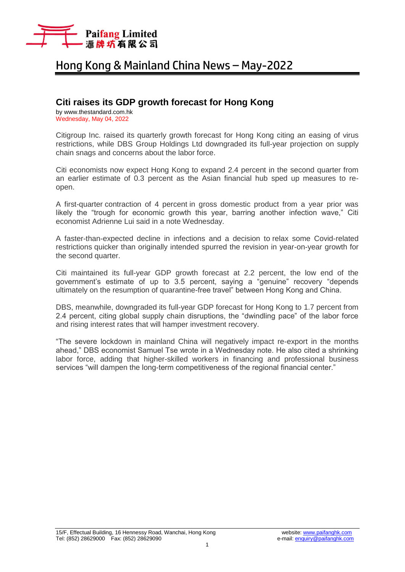

# Hong Kong & Mainland China News – May-2022

#### **Citi raises its GDP growth forecast for Hong Kong**

by www.thestandard.com.hk Wednesday, May 04, 2022

Citigroup Inc. raised its quarterly growth forecast for Hong Kong citing an easing of virus restrictions, while DBS Group Holdings Ltd downgraded its full-year projection on supply chain snags and concerns about the labor force.

Citi economists now expect Hong Kong to expand 2.4 percent in the second quarter from an earlier estimate of 0.3 percent as the Asian financial hub sped up measures to reopen.

A first-quarter contraction of 4 percent in gross domestic product from a year prior was likely the "trough for economic growth this year, barring another infection wave," Citi economist Adrienne Lui said in a note Wednesday.

A faster-than-expected decline in infections and a decision to relax some Covid-related restrictions quicker than originally intended spurred the revision in year-on-year growth for the second quarter.

Citi maintained its full-year GDP growth forecast at 2.2 percent, the low end of the government's estimate of up to 3.5 percent, saying a "genuine" recovery "depends ultimately on the resumption of quarantine-free travel" between Hong Kong and China.

DBS, meanwhile, downgraded its full-year GDP forecast for Hong Kong to 1.7 percent from 2.4 percent, citing global supply chain disruptions, the "dwindling pace" of the labor force and rising interest rates that will hamper investment recovery.

"The severe lockdown in mainland China will negatively impact re-export in the months ahead," DBS economist Samuel Tse wrote in a Wednesday note. He also cited a shrinking labor force, adding that higher-skilled workers in financing and professional business services "will dampen the long-term competitiveness of the regional financial center."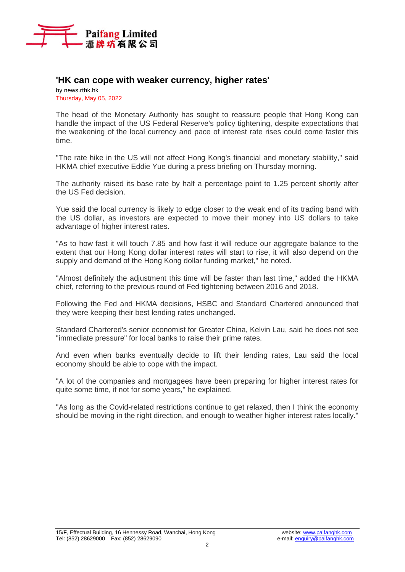

### **'HK can cope with weaker currency, higher rates'**

by news.rthk.hk Thursday, May 05, 2022

The head of the Monetary Authority has sought to reassure people that Hong Kong can handle the impact of the US Federal Reserve's policy tightening, despite expectations that the weakening of the local currency and pace of interest rate rises could come faster this time.

"The rate hike in the US will not affect Hong Kong's financial and monetary stability," said HKMA chief executive Eddie Yue during a press briefing on Thursday morning.

The authority raised its base rate by half a percentage point to 1.25 percent shortly after the US Fed decision.

Yue said the local currency is likely to edge closer to the weak end of its trading band with the US dollar, as investors are expected to move their money into US dollars to take advantage of higher interest rates.

"As to how fast it will touch 7.85 and how fast it will reduce our aggregate balance to the extent that our Hong Kong dollar interest rates will start to rise, it will also depend on the supply and demand of the Hong Kong dollar funding market," he noted.

"Almost definitely the adjustment this time will be faster than last time," added the HKMA chief, referring to the previous round of Fed tightening between 2016 and 2018.

Following the Fed and HKMA decisions, HSBC and Standard Chartered announced that they were keeping their best lending rates unchanged.

Standard Chartered's senior economist for Greater China, Kelvin Lau, said he does not see "immediate pressure" for local banks to raise their prime rates.

And even when banks eventually decide to lift their lending rates, Lau said the local economy should be able to cope with the impact.

"A lot of the companies and mortgagees have been preparing for higher interest rates for quite some time, if not for some years," he explained.

"As long as the Covid-related restrictions continue to get relaxed, then I think the economy should be moving in the right direction, and enough to weather higher interest rates locally."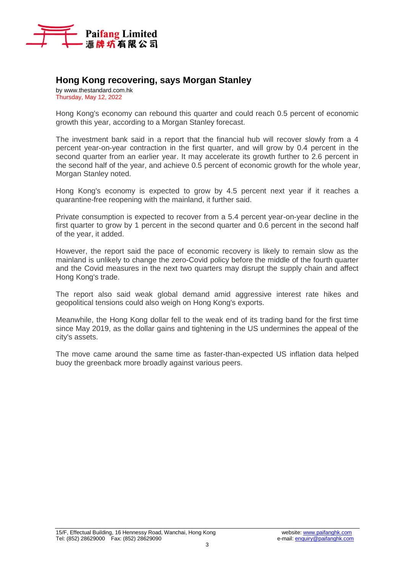

## **Hong Kong recovering, says Morgan Stanley**

by www.thestandard.com.hk Thursday, May 12, 2022

Hong Kong's economy can rebound this quarter and could reach 0.5 percent of economic growth this year, according to a Morgan Stanley forecast.

The investment bank said in a report that the financial hub will recover slowly from a 4 percent year-on-year contraction in the first quarter, and will grow by 0.4 percent in the second quarter from an earlier year. It may accelerate its growth further to 2.6 percent in the second half of the year, and achieve 0.5 percent of economic growth for the whole year, Morgan Stanley noted.

Hong Kong's economy is expected to grow by 4.5 percent next year if it reaches a quarantine-free reopening with the mainland, it further said.

Private consumption is expected to recover from a 5.4 percent year-on-year decline in the first quarter to grow by 1 percent in the second quarter and 0.6 percent in the second half of the year, it added.

However, the report said the pace of economic recovery is likely to remain slow as the mainland is unlikely to change the zero-Covid policy before the middle of the fourth quarter and the Covid measures in the next two quarters may disrupt the supply chain and affect Hong Kong's trade.

The report also said weak global demand amid aggressive interest rate hikes and geopolitical tensions could also weigh on Hong Kong's exports.

Meanwhile, the Hong Kong dollar fell to the weak end of its trading band for the first time since May 2019, as the dollar gains and tightening in the US undermines the appeal of the city's assets.

The move came around the same time as faster-than-expected US inflation data helped buoy the greenback more broadly against various peers.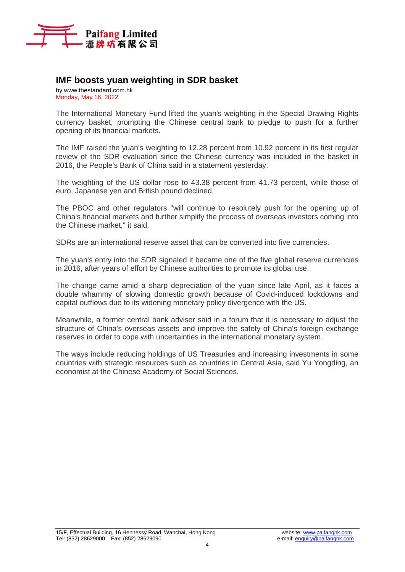

## **IMF boosts yuan weighting in SDR basket**

by www.thestandard.com.hk Monday, May 16, 2022

The International Monetary Fund lifted the yuan's weighting in the Special Drawing Rights currency basket, prompting the Chinese central bank to pledge to push for a further opening of its financial markets.

The IMF raised the yuan's weighting to 12.28 percent from 10.92 percent in its first regular review of the SDR evaluation since the Chinese currency was included in the basket in 2016, the People's Bank of China said in a statement yesterday.

The weighting of the US dollar rose to 43.38 percent from 41.73 percent, while those of euro, Japanese yen and British pound declined.

The PBOC and other regulators "will continue to resolutely push for the opening up of China's financial markets and further simplify the process of overseas investors coming into the Chinese market," it said.

SDRs are an international reserve asset that can be converted into five currencies.

The yuan's entry into the SDR signaled it became one of the five global reserve currencies in 2016, after years of effort by Chinese authorities to promote its global use.

The change came amid a sharp depreciation of the yuan since late April, as it faces a double whammy of slowing domestic growth because of Covid-induced lockdowns and capital outflows due to its widening monetary policy divergence with the US.

Meanwhile, a former central bank adviser said in a forum that it is necessary to adjust the structure of China's overseas assets and improve the safety of China's foreign exchange reserves in order to cope with uncertainties in the international monetary system.

The ways include reducing holdings of US Treasuries and increasing investments in some countries with strategic resources such as countries in Central Asia, said Yu Yongding, an economist at the Chinese Academy of Social Sciences.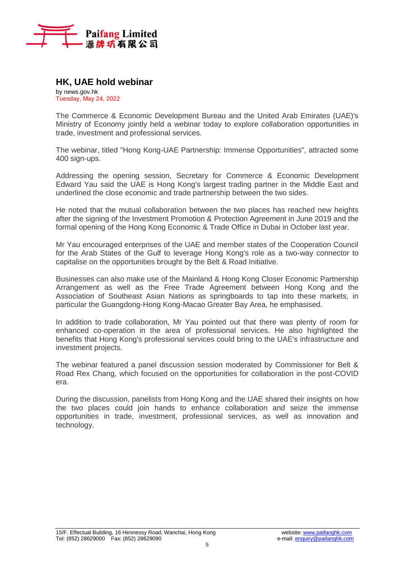

## **HK, UAE hold webinar**

by news.gov.hk Tuesday, May 24, 2022

The Commerce & Economic Development Bureau and the United Arab Emirates (UAE)'s Ministry of Economy jointly held a webinar today to explore collaboration opportunities in trade, investment and professional services.

The webinar, titled "Hong Kong-UAE Partnership: Immense Opportunities", attracted some 400 sign-ups.

Addressing the opening session, Secretary for Commerce & Economic Development Edward Yau said the UAE is Hong Kong's largest trading partner in the Middle East and underlined the close economic and trade partnership between the two sides.

He noted that the mutual collaboration between the two places has reached new heights after the signing of the Investment Promotion & Protection Agreement in June 2019 and the formal opening of the Hong Kong Economic & Trade Office in Dubai in October last year.

Mr Yau encouraged enterprises of the UAE and member states of the Cooperation Council for the Arab States of the Gulf to leverage Hong Kong's role as a two-way connector to capitalise on the opportunities brought by the Belt & Road Initiative.

Businesses can also make use of the Mainland & Hong Kong Closer Economic Partnership Arrangement as well as the Free Trade Agreement between Hong Kong and the Association of Southeast Asian Nations as springboards to tap into these markets, in particular the Guangdong-Hong Kong-Macao Greater Bay Area, he emphasised.

In addition to trade collaboration, Mr Yau pointed out that there was plenty of room for enhanced co-operation in the area of professional services. He also highlighted the benefits that Hong Kong's professional services could bring to the UAE's infrastructure and investment projects.

The webinar featured a panel discussion session moderated by Commissioner for Belt & Road Rex Chang, which focused on the opportunities for collaboration in the post-COVID era.

During the discussion, panelists from Hong Kong and the UAE shared their insights on how the two places could join hands to enhance collaboration and seize the immense opportunities in trade, investment, professional services, as well as innovation and technology.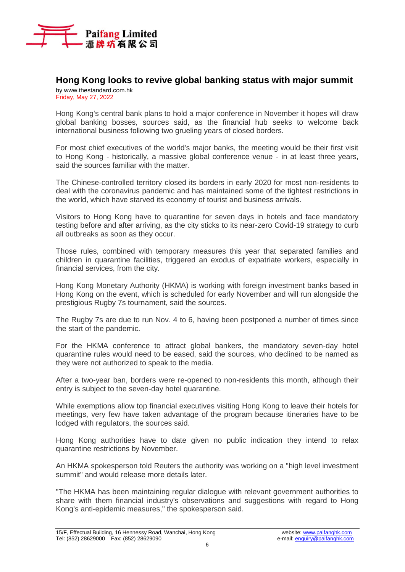

# **Hong Kong looks to revive global banking status with major summit**

by www.thestandard.com.hk Friday, May 27, 2022

Hong Kong's central bank plans to hold a major conference in November it hopes will draw global banking bosses, sources said, as the financial hub seeks to welcome back international business following two grueling years of closed borders.

For most chief executives of the world's major banks, the meeting would be their first visit to Hong Kong - historically, a massive global conference venue - in at least three years, said the sources familiar with the matter.

The Chinese-controlled territory closed its borders in early 2020 for most non-residents to deal with the coronavirus pandemic and has maintained some of the tightest restrictions in the world, which have starved its economy of tourist and business arrivals.

Visitors to Hong Kong have to quarantine for seven days in hotels and face mandatory testing before and after arriving, as the city sticks to its near-zero Covid-19 strategy to curb all outbreaks as soon as they occur.

Those rules, combined with temporary measures this year that separated families and children in quarantine facilities, triggered an exodus of expatriate workers, especially in financial services, from the city.

Hong Kong Monetary Authority (HKMA) is working with foreign investment banks based in Hong Kong on the event, which is scheduled for early November and will run alongside the prestigious Rugby 7s tournament, said the sources.

The Rugby 7s are due to run Nov. 4 to 6, having been postponed a number of times since the start of the pandemic.

For the HKMA conference to attract global bankers, the mandatory seven-day hotel quarantine rules would need to be eased, said the sources, who declined to be named as they were not authorized to speak to the media.

After a two-year ban, borders were re-opened to non-residents this month, although their entry is subject to the seven-day hotel quarantine.

While exemptions allow top financial executives visiting Hong Kong to leave their hotels for meetings, very few have taken advantage of the program because itineraries have to be lodged with regulators, the sources said.

Hong Kong authorities have to date given no public indication they intend to relax quarantine restrictions by November.

An HKMA spokesperson told Reuters the authority was working on a "high level investment summit" and would release more details later.

"The HKMA has been maintaining regular dialogue with relevant government authorities to share with them financial industry's observations and suggestions with regard to Hong Kong's anti-epidemic measures," the spokesperson said.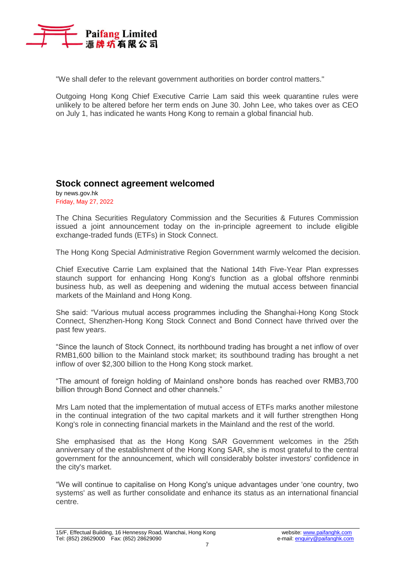

"We shall defer to the relevant government authorities on border control matters."

Outgoing Hong Kong Chief Executive Carrie Lam said this week quarantine rules were unlikely to be altered before her term ends on June 30. John Lee, who takes over as CEO on July 1, has indicated he wants Hong Kong to remain a global financial hub.

#### **Stock connect agreement welcomed**

by news.gov.hk Friday, May 27, 2022

The China Securities Regulatory Commission and the Securities & Futures Commission issued a joint announcement today on the in-principle agreement to include eligible exchange-traded funds (ETFs) in Stock Connect.

The Hong Kong Special Administrative Region Government warmly welcomed the decision.

Chief Executive Carrie Lam explained that the National 14th Five-Year Plan expresses staunch support for enhancing Hong Kong's function as a global offshore renminbi business hub, as well as deepening and widening the mutual access between financial markets of the Mainland and Hong Kong.

She said: "Various mutual access programmes including the Shanghai-Hong Kong Stock Connect, Shenzhen-Hong Kong Stock Connect and Bond Connect have thrived over the past few years.

"Since the launch of Stock Connect, its northbound trading has brought a net inflow of over RMB1,600 billion to the Mainland stock market; its southbound trading has brought a net inflow of over \$2,300 billion to the Hong Kong stock market.

"The amount of foreign holding of Mainland onshore bonds has reached over RMB3,700 billion through Bond Connect and other channels."

Mrs Lam noted that the implementation of mutual access of ETFs marks another milestone in the continual integration of the two capital markets and it will further strengthen Hong Kong's role in connecting financial markets in the Mainland and the rest of the world.

She emphasised that as the Hong Kong SAR Government welcomes in the 25th anniversary of the establishment of the Hong Kong SAR, she is most grateful to the central government for the announcement, which will considerably bolster investors' confidence in the city's market.

"We will continue to capitalise on Hong Kong's unique advantages under 'one country, two systems' as well as further consolidate and enhance its status as an international financial centre.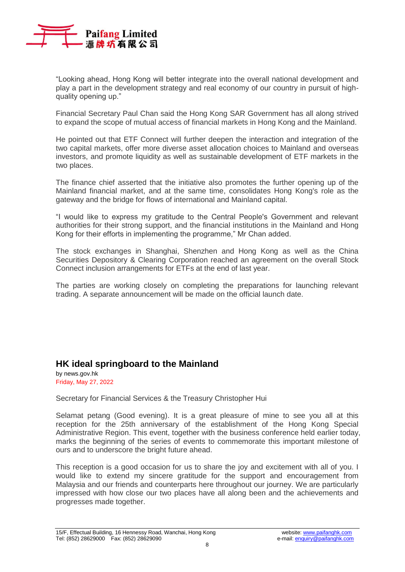

"Looking ahead, Hong Kong will better integrate into the overall national development and play a part in the development strategy and real economy of our country in pursuit of highquality opening up."

Financial Secretary Paul Chan said the Hong Kong SAR Government has all along strived to expand the scope of mutual access of financial markets in Hong Kong and the Mainland.

He pointed out that ETF Connect will further deepen the interaction and integration of the two capital markets, offer more diverse asset allocation choices to Mainland and overseas investors, and promote liquidity as well as sustainable development of ETF markets in the two places.

The finance chief asserted that the initiative also promotes the further opening up of the Mainland financial market, and at the same time, consolidates Hong Kong's role as the gateway and the bridge for flows of international and Mainland capital.

"I would like to express my gratitude to the Central People's Government and relevant authorities for their strong support, and the financial institutions in the Mainland and Hong Kong for their efforts in implementing the programme," Mr Chan added.

The stock exchanges in Shanghai, Shenzhen and Hong Kong as well as the China Securities Depository & Clearing Corporation reached an agreement on the overall Stock Connect inclusion arrangements for ETFs at the end of last year.

The parties are working closely on completing the preparations for launching relevant trading. A separate announcement will be made on the official launch date.

#### **HK ideal springboard to the Mainland**

by news.gov.hk Friday, May 27, 2022

Secretary for Financial Services & the Treasury Christopher Hui

Selamat petang (Good evening). It is a great pleasure of mine to see you all at this reception for the 25th anniversary of the establishment of the Hong Kong Special Administrative Region. This event, together with the business conference held earlier today, marks the beginning of the series of events to commemorate this important milestone of ours and to underscore the bright future ahead.

This reception is a good occasion for us to share the joy and excitement with all of you. I would like to extend my sincere gratitude for the support and encouragement from Malaysia and our friends and counterparts here throughout our journey. We are particularly impressed with how close our two places have all along been and the achievements and progresses made together.